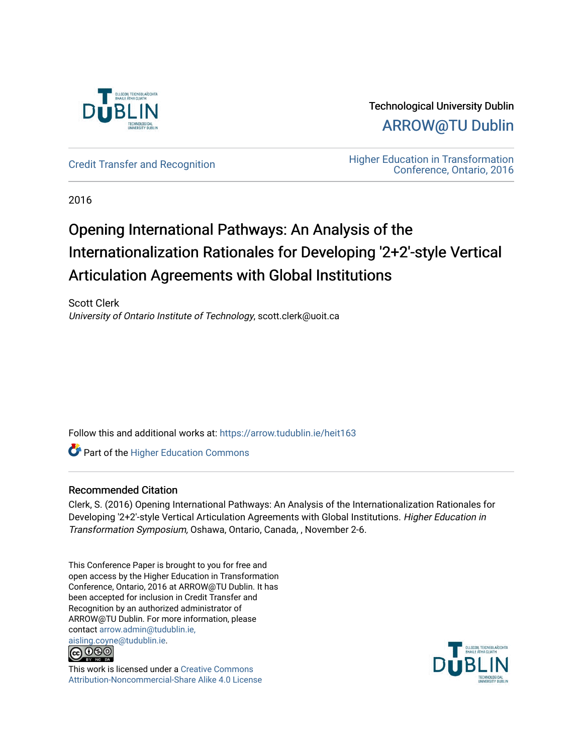

Technological University Dublin [ARROW@TU Dublin](https://arrow.tudublin.ie/) 

[Credit Transfer and Recognition](https://arrow.tudublin.ie/heit163) **Higher Education in Transformation**<br>Conference Ontario 2016 [Conference, Ontario, 2016](https://arrow.tudublin.ie/tuheit16) 

2016

# Opening International Pathways: An Analysis of the Internationalization Rationales for Developing '2+2'-style Vertical Articulation Agreements with Global Institutions

Scott Clerk University of Ontario Institute of Technology, scott.clerk@uoit.ca

Follow this and additional works at: [https://arrow.tudublin.ie/heit163](https://arrow.tudublin.ie/heit163?utm_source=arrow.tudublin.ie%2Fheit163%2F1&utm_medium=PDF&utm_campaign=PDFCoverPages)

**Part of the Higher Education Commons** 

#### Recommended Citation

Clerk, S. (2016) Opening International Pathways: An Analysis of the Internationalization Rationales for Developing '2+2'-style Vertical Articulation Agreements with Global Institutions. Higher Education in Transformation Symposium, Oshawa, Ontario, Canada, , November 2-6.

This Conference Paper is brought to you for free and open access by the Higher Education in Transformation Conference, Ontario, 2016 at ARROW@TU Dublin. It has been accepted for inclusion in Credit Transfer and Recognition by an authorized administrator of ARROW@TU Dublin. For more information, please contact [arrow.admin@tudublin.ie,](mailto:arrow.admin@tudublin.ie,%20aisling.coyne@tudublin.ie) 



This work is licensed under a [Creative Commons](http://creativecommons.org/licenses/by-nc-sa/4.0/) [Attribution-Noncommercial-Share Alike 4.0 License](http://creativecommons.org/licenses/by-nc-sa/4.0/)

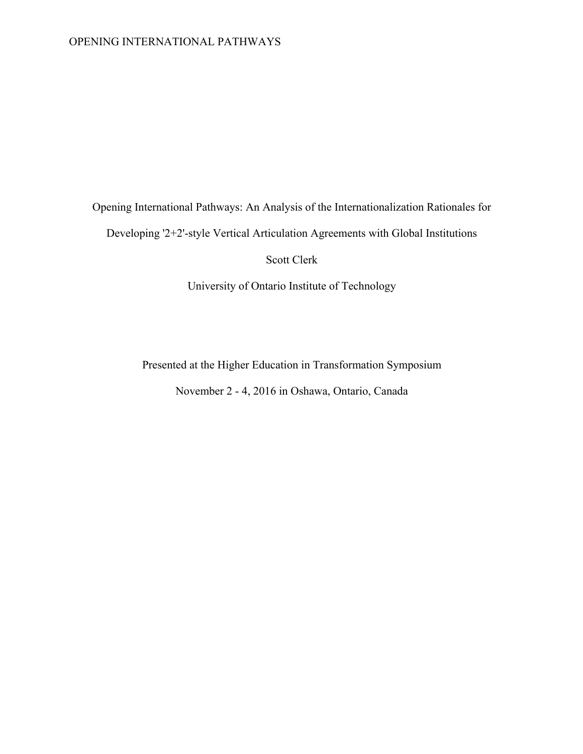### OPENING INTERNATIONAL PATHWAYS

Opening International Pathways: An Analysis of the Internationalization Rationales for

Developing '2+2'-style Vertical Articulation Agreements with Global Institutions

Scott Clerk

University of Ontario Institute of Technology

Presented at the Higher Education in Transformation Symposium

November 2 - 4, 2016 in Oshawa, Ontario, Canada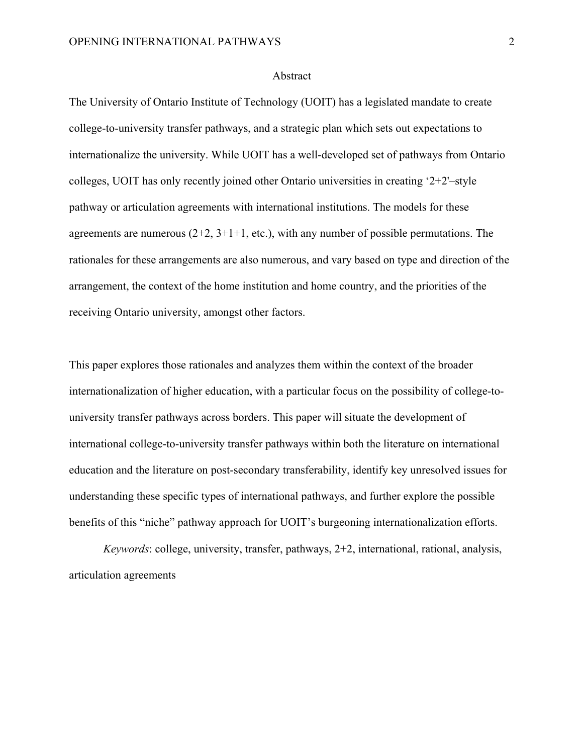#### Abstract

The University of Ontario Institute of Technology (UOIT) has a legislated mandate to create college-to-university transfer pathways, and a strategic plan which sets out expectations to internationalize the university. While UOIT has a well-developed set of pathways from Ontario colleges, UOIT has only recently joined other Ontario universities in creating '2+2'–style pathway or articulation agreements with international institutions. The models for these agreements are numerous  $(2+2, 3+1+1,$  etc.), with any number of possible permutations. The rationales for these arrangements are also numerous, and vary based on type and direction of the arrangement, the context of the home institution and home country, and the priorities of the receiving Ontario university, amongst other factors.

This paper explores those rationales and analyzes them within the context of the broader internationalization of higher education, with a particular focus on the possibility of college-touniversity transfer pathways across borders. This paper will situate the development of international college-to-university transfer pathways within both the literature on international education and the literature on post-secondary transferability, identify key unresolved issues for understanding these specific types of international pathways, and further explore the possible benefits of this "niche" pathway approach for UOIT's burgeoning internationalization efforts.

*Keywords*: college, university, transfer, pathways, 2+2, international, rational, analysis, articulation agreements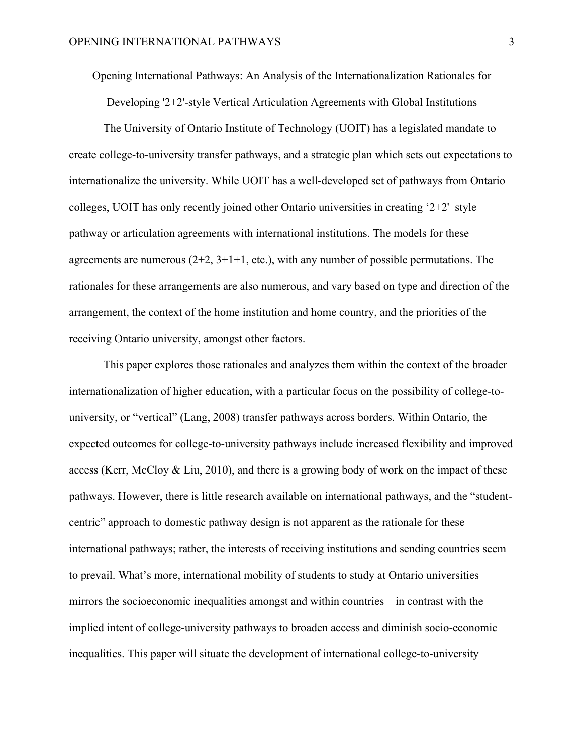Opening International Pathways: An Analysis of the Internationalization Rationales for

Developing '2+2'-style Vertical Articulation Agreements with Global Institutions

The University of Ontario Institute of Technology (UOIT) has a legislated mandate to create college-to-university transfer pathways, and a strategic plan which sets out expectations to internationalize the university. While UOIT has a well-developed set of pathways from Ontario colleges, UOIT has only recently joined other Ontario universities in creating '2+2'–style pathway or articulation agreements with international institutions. The models for these agreements are numerous  $(2+2, 3+1+1,$  etc.), with any number of possible permutations. The rationales for these arrangements are also numerous, and vary based on type and direction of the arrangement, the context of the home institution and home country, and the priorities of the receiving Ontario university, amongst other factors.

This paper explores those rationales and analyzes them within the context of the broader internationalization of higher education, with a particular focus on the possibility of college-touniversity, or "vertical" (Lang, 2008) transfer pathways across borders. Within Ontario, the expected outcomes for college-to-university pathways include increased flexibility and improved access (Kerr, McCloy & Liu, 2010), and there is a growing body of work on the impact of these pathways. However, there is little research available on international pathways, and the "studentcentric" approach to domestic pathway design is not apparent as the rationale for these international pathways; rather, the interests of receiving institutions and sending countries seem to prevail. What's more, international mobility of students to study at Ontario universities mirrors the socioeconomic inequalities amongst and within countries – in contrast with the implied intent of college-university pathways to broaden access and diminish socio-economic inequalities. This paper will situate the development of international college-to-university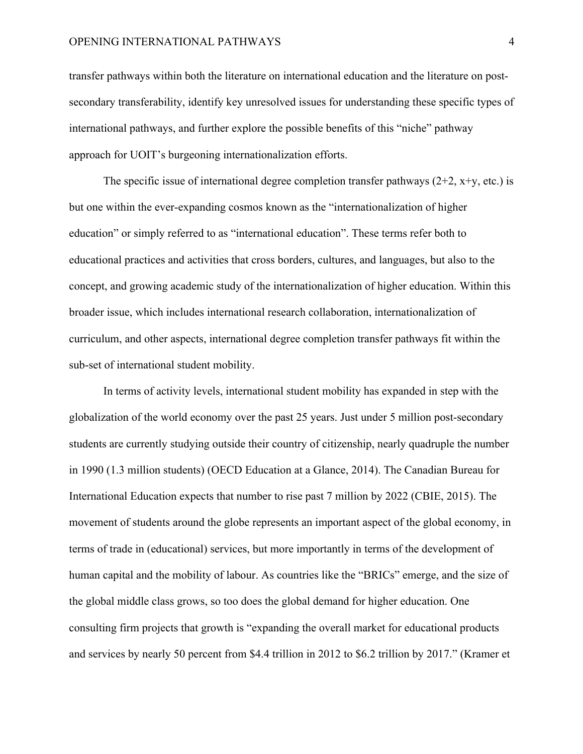#### OPENING INTERNATIONAL PATHWAYS 4

transfer pathways within both the literature on international education and the literature on postsecondary transferability, identify key unresolved issues for understanding these specific types of international pathways, and further explore the possible benefits of this "niche" pathway approach for UOIT's burgeoning internationalization efforts.

The specific issue of international degree completion transfer pathways  $(2+2, x+y, etc.)$  is but one within the ever-expanding cosmos known as the "internationalization of higher education" or simply referred to as "international education". These terms refer both to educational practices and activities that cross borders, cultures, and languages, but also to the concept, and growing academic study of the internationalization of higher education. Within this broader issue, which includes international research collaboration, internationalization of curriculum, and other aspects, international degree completion transfer pathways fit within the sub-set of international student mobility.

In terms of activity levels, international student mobility has expanded in step with the globalization of the world economy over the past 25 years. Just under 5 million post-secondary students are currently studying outside their country of citizenship, nearly quadruple the number in 1990 (1.3 million students) (OECD Education at a Glance, 2014). The Canadian Bureau for International Education expects that number to rise past 7 million by 2022 (CBIE, 2015). The movement of students around the globe represents an important aspect of the global economy, in terms of trade in (educational) services, but more importantly in terms of the development of human capital and the mobility of labour. As countries like the "BRICs" emerge, and the size of the global middle class grows, so too does the global demand for higher education. One consulting firm projects that growth is "expanding the overall market for educational products and services by nearly 50 percent from \$4.4 trillion in 2012 to \$6.2 trillion by 2017." (Kramer et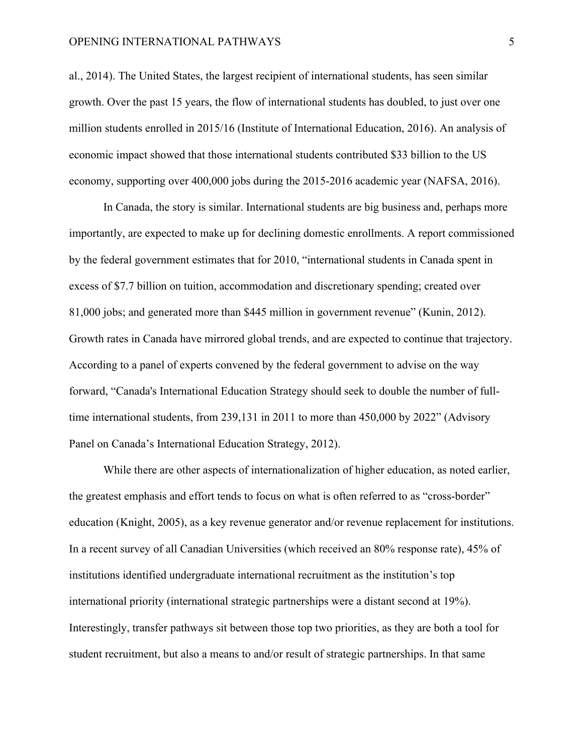#### OPENING INTERNATIONAL PATHWAYS 5

al., 2014). The United States, the largest recipient of international students, has seen similar growth. Over the past 15 years, the flow of international students has doubled, to just over one million students enrolled in 2015/16 (Institute of International Education, 2016). An analysis of economic impact showed that those international students contributed \$33 billion to the US economy, supporting over 400,000 jobs during the 2015-2016 academic year (NAFSA, 2016).

In Canada, the story is similar. International students are big business and, perhaps more importantly, are expected to make up for declining domestic enrollments. A report commissioned by the federal government estimates that for 2010, "international students in Canada spent in excess of \$7.7 billion on tuition, accommodation and discretionary spending; created over 81,000 jobs; and generated more than \$445 million in government revenue" (Kunin, 2012). Growth rates in Canada have mirrored global trends, and are expected to continue that trajectory. According to a panel of experts convened by the federal government to advise on the way forward, "Canada's International Education Strategy should seek to double the number of fulltime international students, from 239,131 in 2011 to more than 450,000 by 2022" (Advisory Panel on Canada's International Education Strategy, 2012).

While there are other aspects of internationalization of higher education, as noted earlier, the greatest emphasis and effort tends to focus on what is often referred to as "cross-border" education (Knight, 2005), as a key revenue generator and/or revenue replacement for institutions. In a recent survey of all Canadian Universities (which received an 80% response rate), 45% of institutions identified undergraduate international recruitment as the institution's top international priority (international strategic partnerships were a distant second at 19%). Interestingly, transfer pathways sit between those top two priorities, as they are both a tool for student recruitment, but also a means to and/or result of strategic partnerships. In that same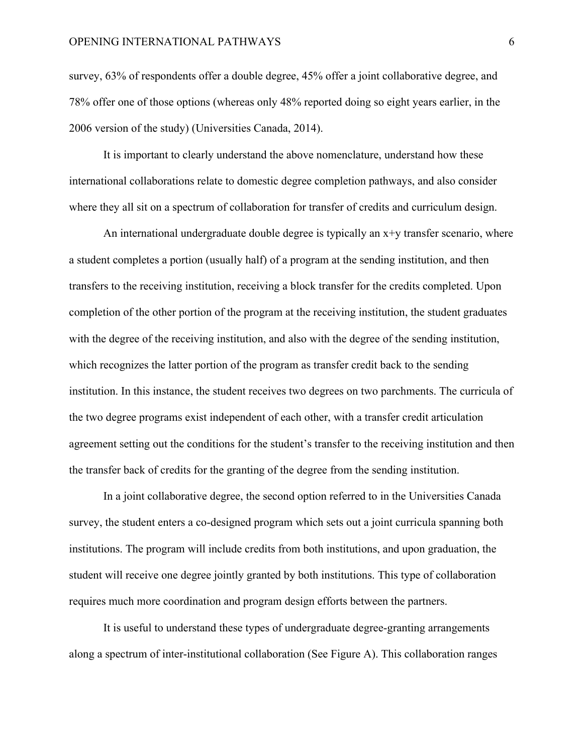survey, 63% of respondents offer a double degree, 45% offer a joint collaborative degree, and 78% offer one of those options (whereas only 48% reported doing so eight years earlier, in the 2006 version of the study) (Universities Canada, 2014).

It is important to clearly understand the above nomenclature, understand how these international collaborations relate to domestic degree completion pathways, and also consider where they all sit on a spectrum of collaboration for transfer of credits and curriculum design.

An international undergraduate double degree is typically an x+y transfer scenario, where a student completes a portion (usually half) of a program at the sending institution, and then transfers to the receiving institution, receiving a block transfer for the credits completed. Upon completion of the other portion of the program at the receiving institution, the student graduates with the degree of the receiving institution, and also with the degree of the sending institution, which recognizes the latter portion of the program as transfer credit back to the sending institution. In this instance, the student receives two degrees on two parchments. The curricula of the two degree programs exist independent of each other, with a transfer credit articulation agreement setting out the conditions for the student's transfer to the receiving institution and then the transfer back of credits for the granting of the degree from the sending institution.

In a joint collaborative degree, the second option referred to in the Universities Canada survey, the student enters a co-designed program which sets out a joint curricula spanning both institutions. The program will include credits from both institutions, and upon graduation, the student will receive one degree jointly granted by both institutions. This type of collaboration requires much more coordination and program design efforts between the partners.

It is useful to understand these types of undergraduate degree-granting arrangements along a spectrum of inter-institutional collaboration (See Figure A). This collaboration ranges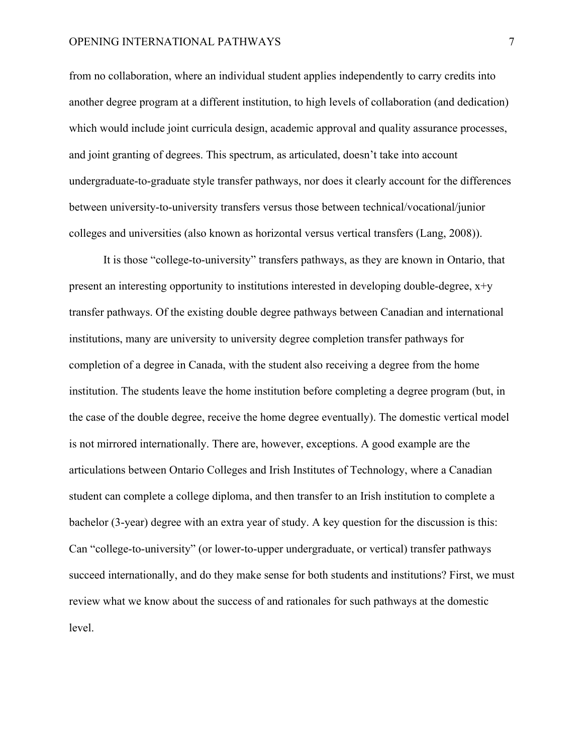from no collaboration, where an individual student applies independently to carry credits into another degree program at a different institution, to high levels of collaboration (and dedication) which would include joint curricula design, academic approval and quality assurance processes, and joint granting of degrees. This spectrum, as articulated, doesn't take into account undergraduate-to-graduate style transfer pathways, nor does it clearly account for the differences between university-to-university transfers versus those between technical/vocational/junior colleges and universities (also known as horizontal versus vertical transfers (Lang, 2008)).

It is those "college-to-university" transfers pathways, as they are known in Ontario, that present an interesting opportunity to institutions interested in developing double-degree,  $x+y$ transfer pathways. Of the existing double degree pathways between Canadian and international institutions, many are university to university degree completion transfer pathways for completion of a degree in Canada, with the student also receiving a degree from the home institution. The students leave the home institution before completing a degree program (but, in the case of the double degree, receive the home degree eventually). The domestic vertical model is not mirrored internationally. There are, however, exceptions. A good example are the articulations between Ontario Colleges and Irish Institutes of Technology, where a Canadian student can complete a college diploma, and then transfer to an Irish institution to complete a bachelor (3-year) degree with an extra year of study. A key question for the discussion is this: Can "college-to-university" (or lower-to-upper undergraduate, or vertical) transfer pathways succeed internationally, and do they make sense for both students and institutions? First, we must review what we know about the success of and rationales for such pathways at the domestic level.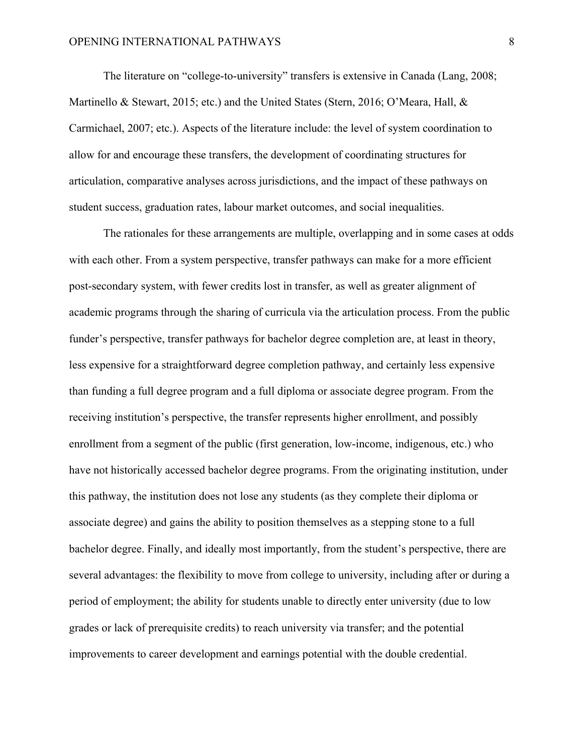The literature on "college-to-university" transfers is extensive in Canada (Lang, 2008; Martinello & Stewart, 2015; etc.) and the United States (Stern, 2016; O'Meara, Hall, & Carmichael, 2007; etc.). Aspects of the literature include: the level of system coordination to allow for and encourage these transfers, the development of coordinating structures for articulation, comparative analyses across jurisdictions, and the impact of these pathways on student success, graduation rates, labour market outcomes, and social inequalities.

The rationales for these arrangements are multiple, overlapping and in some cases at odds with each other. From a system perspective, transfer pathways can make for a more efficient post-secondary system, with fewer credits lost in transfer, as well as greater alignment of academic programs through the sharing of curricula via the articulation process. From the public funder's perspective, transfer pathways for bachelor degree completion are, at least in theory, less expensive for a straightforward degree completion pathway, and certainly less expensive than funding a full degree program and a full diploma or associate degree program. From the receiving institution's perspective, the transfer represents higher enrollment, and possibly enrollment from a segment of the public (first generation, low-income, indigenous, etc.) who have not historically accessed bachelor degree programs. From the originating institution, under this pathway, the institution does not lose any students (as they complete their diploma or associate degree) and gains the ability to position themselves as a stepping stone to a full bachelor degree. Finally, and ideally most importantly, from the student's perspective, there are several advantages: the flexibility to move from college to university, including after or during a period of employment; the ability for students unable to directly enter university (due to low grades or lack of prerequisite credits) to reach university via transfer; and the potential improvements to career development and earnings potential with the double credential.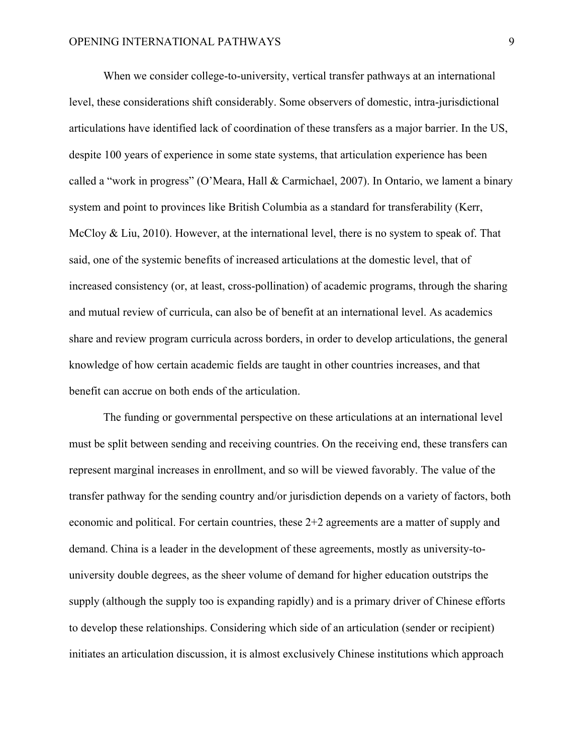When we consider college-to-university, vertical transfer pathways at an international level, these considerations shift considerably. Some observers of domestic, intra-jurisdictional articulations have identified lack of coordination of these transfers as a major barrier. In the US, despite 100 years of experience in some state systems, that articulation experience has been called a "work in progress" (O'Meara, Hall & Carmichael, 2007). In Ontario, we lament a binary system and point to provinces like British Columbia as a standard for transferability (Kerr, McCloy & Liu, 2010). However, at the international level, there is no system to speak of. That said, one of the systemic benefits of increased articulations at the domestic level, that of increased consistency (or, at least, cross-pollination) of academic programs, through the sharing and mutual review of curricula, can also be of benefit at an international level. As academics share and review program curricula across borders, in order to develop articulations, the general knowledge of how certain academic fields are taught in other countries increases, and that benefit can accrue on both ends of the articulation.

The funding or governmental perspective on these articulations at an international level must be split between sending and receiving countries. On the receiving end, these transfers can represent marginal increases in enrollment, and so will be viewed favorably. The value of the transfer pathway for the sending country and/or jurisdiction depends on a variety of factors, both economic and political. For certain countries, these 2+2 agreements are a matter of supply and demand. China is a leader in the development of these agreements, mostly as university-touniversity double degrees, as the sheer volume of demand for higher education outstrips the supply (although the supply too is expanding rapidly) and is a primary driver of Chinese efforts to develop these relationships. Considering which side of an articulation (sender or recipient) initiates an articulation discussion, it is almost exclusively Chinese institutions which approach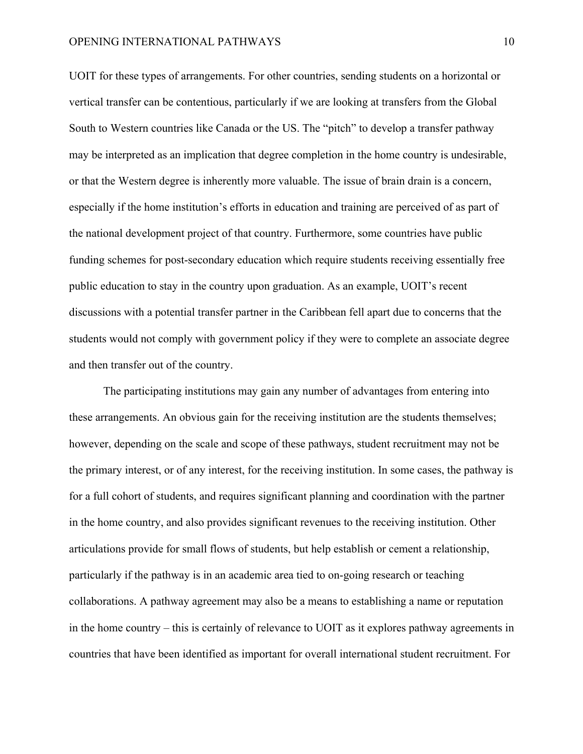UOIT for these types of arrangements. For other countries, sending students on a horizontal or vertical transfer can be contentious, particularly if we are looking at transfers from the Global South to Western countries like Canada or the US. The "pitch" to develop a transfer pathway may be interpreted as an implication that degree completion in the home country is undesirable, or that the Western degree is inherently more valuable. The issue of brain drain is a concern, especially if the home institution's efforts in education and training are perceived of as part of the national development project of that country. Furthermore, some countries have public funding schemes for post-secondary education which require students receiving essentially free public education to stay in the country upon graduation. As an example, UOIT's recent discussions with a potential transfer partner in the Caribbean fell apart due to concerns that the students would not comply with government policy if they were to complete an associate degree and then transfer out of the country.

The participating institutions may gain any number of advantages from entering into these arrangements. An obvious gain for the receiving institution are the students themselves; however, depending on the scale and scope of these pathways, student recruitment may not be the primary interest, or of any interest, for the receiving institution. In some cases, the pathway is for a full cohort of students, and requires significant planning and coordination with the partner in the home country, and also provides significant revenues to the receiving institution. Other articulations provide for small flows of students, but help establish or cement a relationship, particularly if the pathway is in an academic area tied to on-going research or teaching collaborations. A pathway agreement may also be a means to establishing a name or reputation in the home country – this is certainly of relevance to UOIT as it explores pathway agreements in countries that have been identified as important for overall international student recruitment. For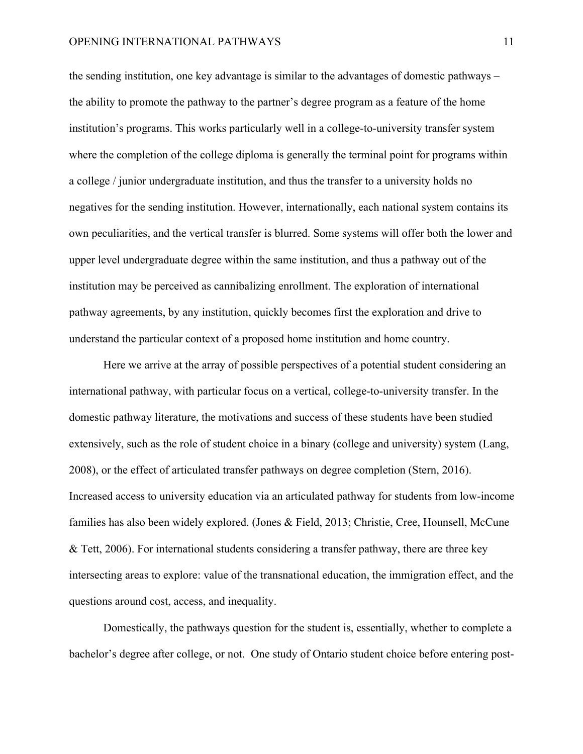the sending institution, one key advantage is similar to the advantages of domestic pathways – the ability to promote the pathway to the partner's degree program as a feature of the home institution's programs. This works particularly well in a college-to-university transfer system where the completion of the college diploma is generally the terminal point for programs within a college / junior undergraduate institution, and thus the transfer to a university holds no negatives for the sending institution. However, internationally, each national system contains its own peculiarities, and the vertical transfer is blurred. Some systems will offer both the lower and upper level undergraduate degree within the same institution, and thus a pathway out of the institution may be perceived as cannibalizing enrollment. The exploration of international pathway agreements, by any institution, quickly becomes first the exploration and drive to understand the particular context of a proposed home institution and home country.

Here we arrive at the array of possible perspectives of a potential student considering an international pathway, with particular focus on a vertical, college-to-university transfer. In the domestic pathway literature, the motivations and success of these students have been studied extensively, such as the role of student choice in a binary (college and university) system (Lang, 2008), or the effect of articulated transfer pathways on degree completion (Stern, 2016). Increased access to university education via an articulated pathway for students from low-income families has also been widely explored. (Jones & Field, 2013; Christie, Cree, Hounsell, McCune & Tett, 2006). For international students considering a transfer pathway, there are three key intersecting areas to explore: value of the transnational education, the immigration effect, and the questions around cost, access, and inequality.

Domestically, the pathways question for the student is, essentially, whether to complete a bachelor's degree after college, or not. One study of Ontario student choice before entering post-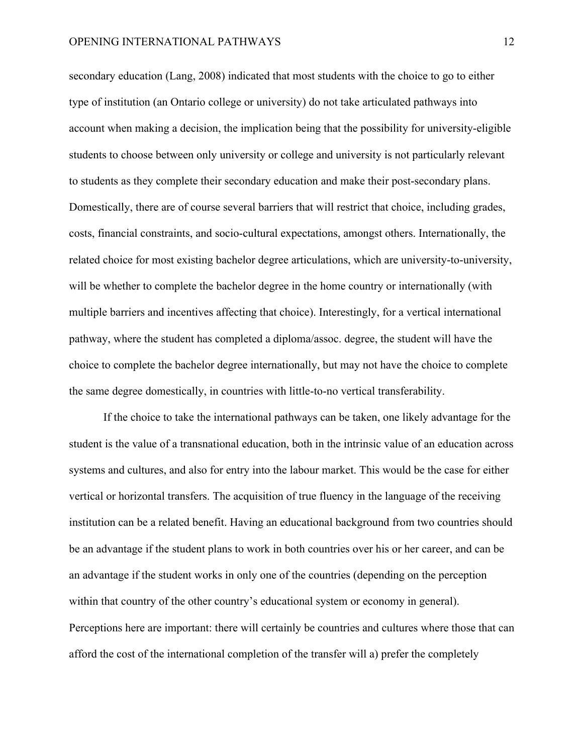secondary education (Lang, 2008) indicated that most students with the choice to go to either type of institution (an Ontario college or university) do not take articulated pathways into account when making a decision, the implication being that the possibility for university-eligible students to choose between only university or college and university is not particularly relevant to students as they complete their secondary education and make their post-secondary plans. Domestically, there are of course several barriers that will restrict that choice, including grades, costs, financial constraints, and socio-cultural expectations, amongst others. Internationally, the related choice for most existing bachelor degree articulations, which are university-to-university, will be whether to complete the bachelor degree in the home country or internationally (with multiple barriers and incentives affecting that choice). Interestingly, for a vertical international pathway, where the student has completed a diploma/assoc. degree, the student will have the choice to complete the bachelor degree internationally, but may not have the choice to complete the same degree domestically, in countries with little-to-no vertical transferability.

If the choice to take the international pathways can be taken, one likely advantage for the student is the value of a transnational education, both in the intrinsic value of an education across systems and cultures, and also for entry into the labour market. This would be the case for either vertical or horizontal transfers. The acquisition of true fluency in the language of the receiving institution can be a related benefit. Having an educational background from two countries should be an advantage if the student plans to work in both countries over his or her career, and can be an advantage if the student works in only one of the countries (depending on the perception within that country of the other country's educational system or economy in general). Perceptions here are important: there will certainly be countries and cultures where those that can afford the cost of the international completion of the transfer will a) prefer the completely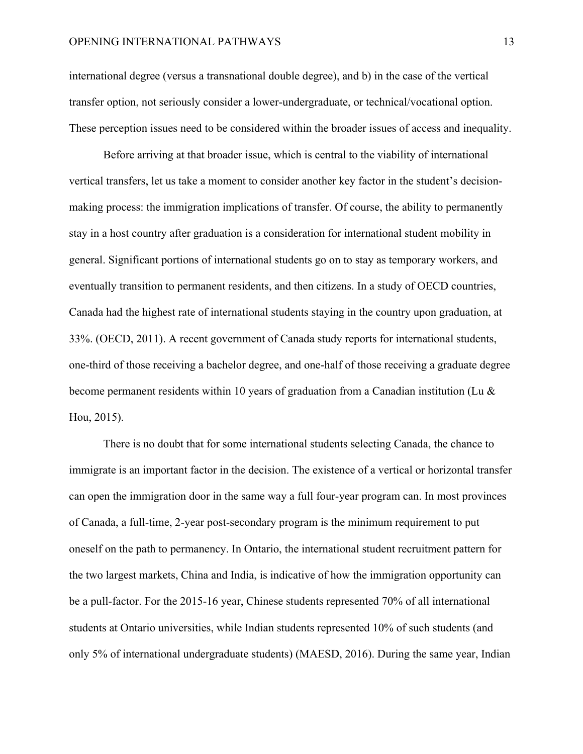international degree (versus a transnational double degree), and b) in the case of the vertical transfer option, not seriously consider a lower-undergraduate, or technical/vocational option. These perception issues need to be considered within the broader issues of access and inequality.

Before arriving at that broader issue, which is central to the viability of international vertical transfers, let us take a moment to consider another key factor in the student's decisionmaking process: the immigration implications of transfer. Of course, the ability to permanently stay in a host country after graduation is a consideration for international student mobility in general. Significant portions of international students go on to stay as temporary workers, and eventually transition to permanent residents, and then citizens. In a study of OECD countries, Canada had the highest rate of international students staying in the country upon graduation, at 33%. (OECD, 2011). A recent government of Canada study reports for international students, one-third of those receiving a bachelor degree, and one-half of those receiving a graduate degree become permanent residents within 10 years of graduation from a Canadian institution (Lu & Hou, 2015).

There is no doubt that for some international students selecting Canada, the chance to immigrate is an important factor in the decision. The existence of a vertical or horizontal transfer can open the immigration door in the same way a full four-year program can. In most provinces of Canada, a full-time, 2-year post-secondary program is the minimum requirement to put oneself on the path to permanency. In Ontario, the international student recruitment pattern for the two largest markets, China and India, is indicative of how the immigration opportunity can be a pull-factor. For the 2015-16 year, Chinese students represented 70% of all international students at Ontario universities, while Indian students represented 10% of such students (and only 5% of international undergraduate students) (MAESD, 2016). During the same year, Indian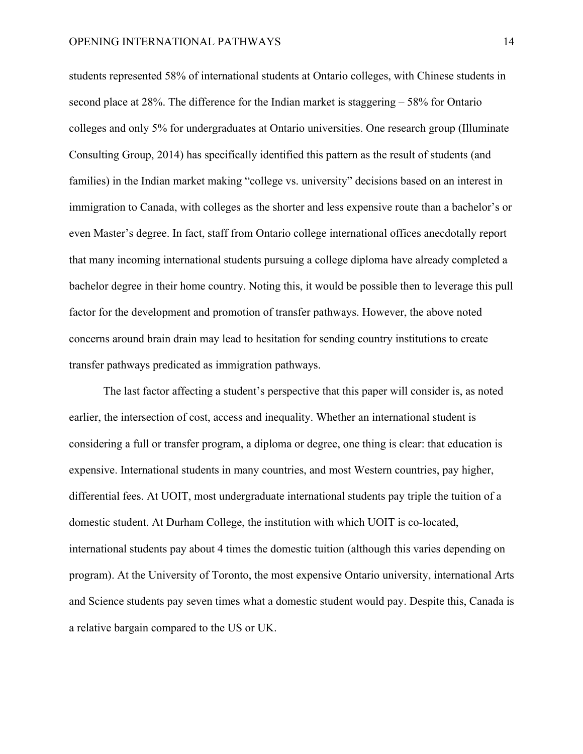students represented 58% of international students at Ontario colleges, with Chinese students in second place at 28%. The difference for the Indian market is staggering – 58% for Ontario colleges and only 5% for undergraduates at Ontario universities. One research group (Illuminate Consulting Group, 2014) has specifically identified this pattern as the result of students (and families) in the Indian market making "college vs. university" decisions based on an interest in immigration to Canada, with colleges as the shorter and less expensive route than a bachelor's or even Master's degree. In fact, staff from Ontario college international offices anecdotally report that many incoming international students pursuing a college diploma have already completed a bachelor degree in their home country. Noting this, it would be possible then to leverage this pull factor for the development and promotion of transfer pathways. However, the above noted concerns around brain drain may lead to hesitation for sending country institutions to create transfer pathways predicated as immigration pathways.

The last factor affecting a student's perspective that this paper will consider is, as noted earlier, the intersection of cost, access and inequality. Whether an international student is considering a full or transfer program, a diploma or degree, one thing is clear: that education is expensive. International students in many countries, and most Western countries, pay higher, differential fees. At UOIT, most undergraduate international students pay triple the tuition of a domestic student. At Durham College, the institution with which UOIT is co-located, international students pay about 4 times the domestic tuition (although this varies depending on program). At the University of Toronto, the most expensive Ontario university, international Arts and Science students pay seven times what a domestic student would pay. Despite this, Canada is a relative bargain compared to the US or UK.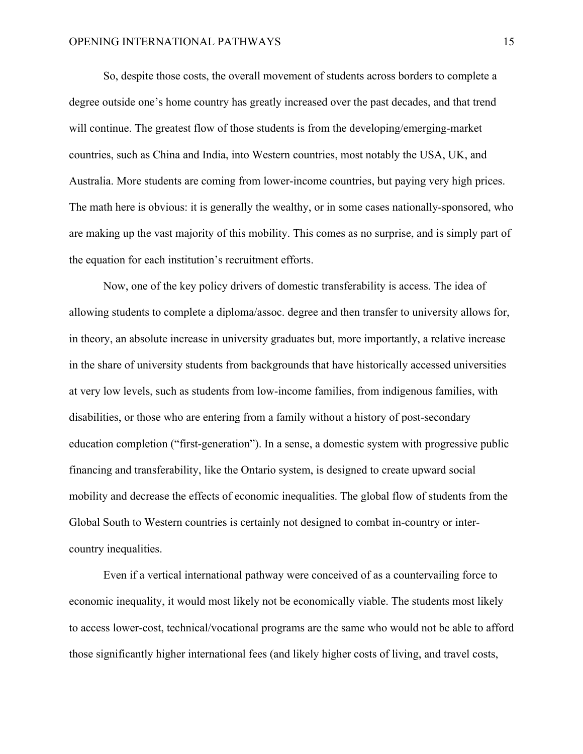So, despite those costs, the overall movement of students across borders to complete a degree outside one's home country has greatly increased over the past decades, and that trend will continue. The greatest flow of those students is from the developing/emerging-market countries, such as China and India, into Western countries, most notably the USA, UK, and Australia. More students are coming from lower-income countries, but paying very high prices. The math here is obvious: it is generally the wealthy, or in some cases nationally-sponsored, who are making up the vast majority of this mobility. This comes as no surprise, and is simply part of the equation for each institution's recruitment efforts.

Now, one of the key policy drivers of domestic transferability is access. The idea of allowing students to complete a diploma/assoc. degree and then transfer to university allows for, in theory, an absolute increase in university graduates but, more importantly, a relative increase in the share of university students from backgrounds that have historically accessed universities at very low levels, such as students from low-income families, from indigenous families, with disabilities, or those who are entering from a family without a history of post-secondary education completion ("first-generation"). In a sense, a domestic system with progressive public financing and transferability, like the Ontario system, is designed to create upward social mobility and decrease the effects of economic inequalities. The global flow of students from the Global South to Western countries is certainly not designed to combat in-country or intercountry inequalities.

Even if a vertical international pathway were conceived of as a countervailing force to economic inequality, it would most likely not be economically viable. The students most likely to access lower-cost, technical/vocational programs are the same who would not be able to afford those significantly higher international fees (and likely higher costs of living, and travel costs,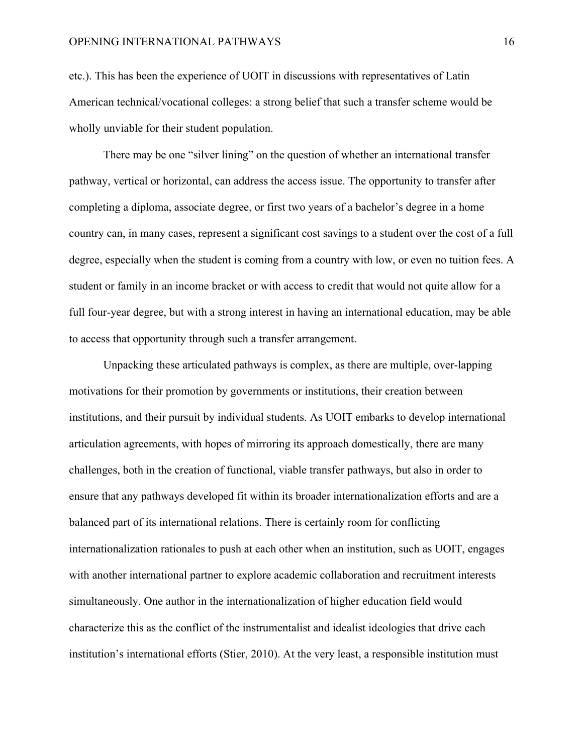etc.). This has been the experience of UOIT in discussions with representatives of Latin American technical/vocational colleges: a strong belief that such a transfer scheme would be wholly unviable for their student population.

There may be one "silver lining" on the question of whether an international transfer pathway, vertical or horizontal, can address the access issue. The opportunity to transfer after completing a diploma, associate degree, or first two years of a bachelor's degree in a home country can, in many cases, represent a significant cost savings to a student over the cost of a full degree, especially when the student is coming from a country with low, or even no tuition fees. A student or family in an income bracket or with access to credit that would not quite allow for a full four-year degree, but with a strong interest in having an international education, may be able to access that opportunity through such a transfer arrangement.

Unpacking these articulated pathways is complex, as there are multiple, over-lapping motivations for their promotion by governments or institutions, their creation between institutions, and their pursuit by individual students. As UOIT embarks to develop international articulation agreements, with hopes of mirroring its approach domestically, there are many challenges, both in the creation of functional, viable transfer pathways, but also in order to ensure that any pathways developed fit within its broader internationalization efforts and are a balanced part of its international relations. There is certainly room for conflicting internationalization rationales to push at each other when an institution, such as UOIT, engages with another international partner to explore academic collaboration and recruitment interests simultaneously. One author in the internationalization of higher education field would characterize this as the conflict of the instrumentalist and idealist ideologies that drive each institution's international efforts (Stier, 2010). At the very least, a responsible institution must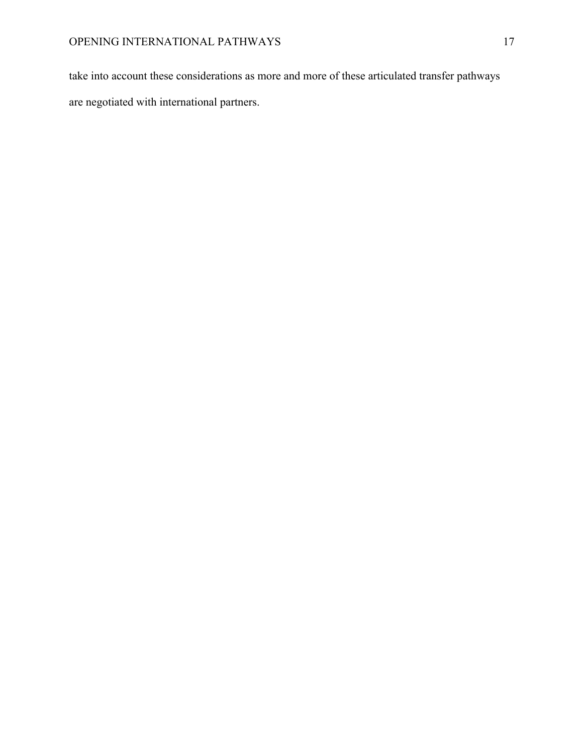take into account these considerations as more and more of these articulated transfer pathways are negotiated with international partners.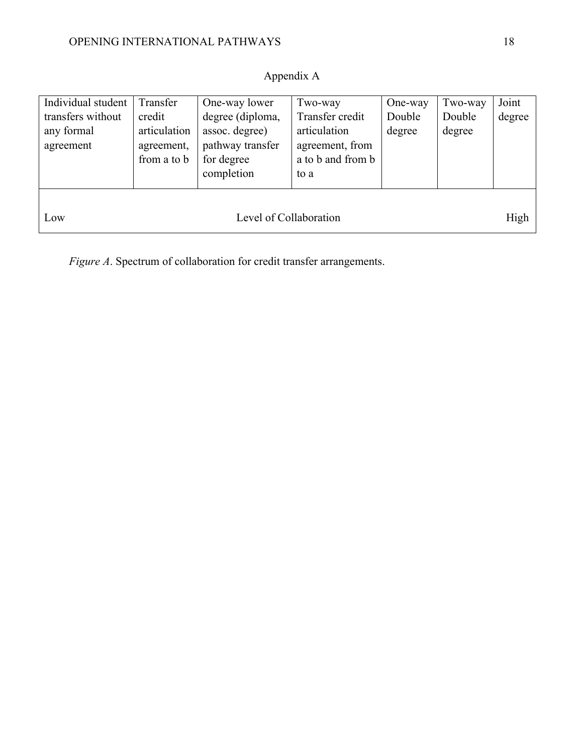## Appendix A

| a to b and from b<br>from a to b<br>for degree<br>completion<br>to a<br>High<br>Level of Collaboration<br>Low | Individual student<br>transfers without<br>any formal | Transfer<br>credit<br>articulation | One-way lower<br>degree (diploma,<br>assoc. degree) | Two-way<br>Transfer credit<br>articulation | One-way<br>Double<br>degree | Two-way<br>Double<br>degree | Joint<br>degree |
|---------------------------------------------------------------------------------------------------------------|-------------------------------------------------------|------------------------------------|-----------------------------------------------------|--------------------------------------------|-----------------------------|-----------------------------|-----------------|
|                                                                                                               | agreement                                             | agreement,                         | pathway transfer                                    | agreement, from                            |                             |                             |                 |
|                                                                                                               |                                                       |                                    |                                                     |                                            |                             |                             |                 |

*Figure A*. Spectrum of collaboration for credit transfer arrangements.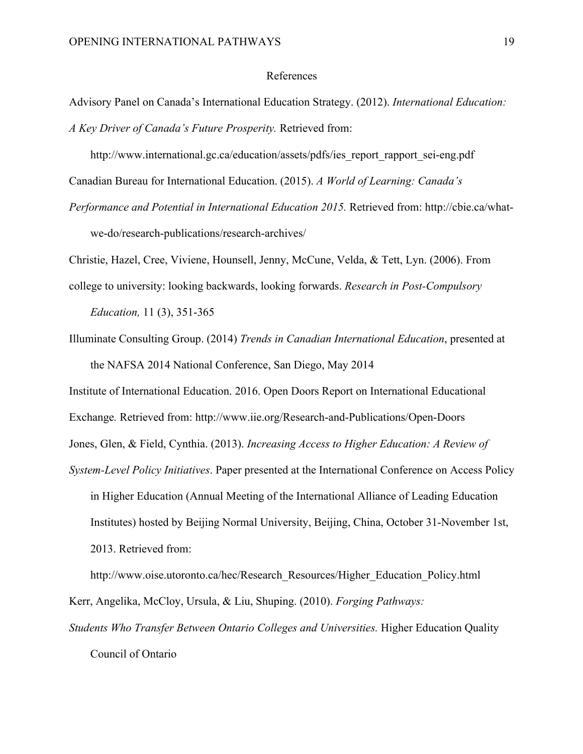#### References

Advisory Panel on Canada's International Education Strategy. (2012). *International Education: A Key Driver of Canada's Future Prosperity.* Retrieved from:

http://www.international.gc.ca/education/assets/pdfs/ies\_report\_rapport\_sei-eng.pdf

Canadian Bureau for International Education. (2015). *A World of Learning: Canada's*

*Performance and Potential in International Education 2015.* Retrieved from: http://cbie.ca/whatwe-do/research-publications/research-archives/

Christie, Hazel, Cree, Viviene, Hounsell, Jenny, McCune, Velda, & Tett, Lyn. (2006). From

college to university: looking backwards, looking forwards. *Research in Post-Compulsory* 

*Education,* 11 (3), 351-365

Illuminate Consulting Group. (2014) *Trends in Canadian International Education*, presented at the NAFSA 2014 National Conference, San Diego, May 2014

Institute of International Education. 2016. Open Doors Report on International Educational Exchange*.* Retrieved from: http://www.iie.org/Research-and-Publications/Open-Doors Jones, Glen, & Field, Cynthia. (2013). *Increasing Access to Higher Education: A Review of System-Level Policy Initiatives*. Paper presented at the International Conference on Access Policy

in Higher Education (Annual Meeting of the International Alliance of Leading Education Institutes) hosted by Beijing Normal University, Beijing, China, October 31-November 1st, 2013. Retrieved from:

http://www.oise.utoronto.ca/hec/Research\_Resources/Higher\_Education\_Policy.html Kerr, Angelika, McCloy, Ursula, & Liu, Shuping. (2010). *Forging Pathways:* 

*Students Who Transfer Between Ontario Colleges and Universities.* Higher Education Quality Council of Ontario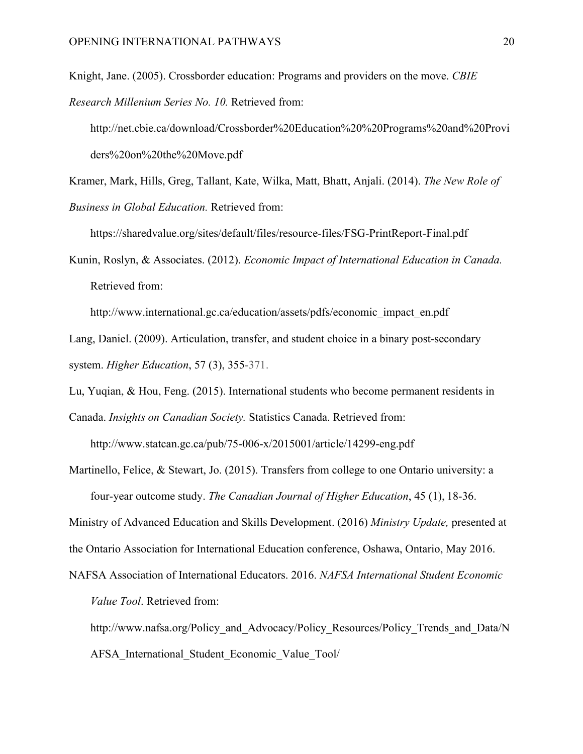Knight, Jane. (2005). Crossborder education: Programs and providers on the move. *CBIE Research Millenium Series No. 10.* Retrieved from:

http://net.cbie.ca/download/Crossborder%20Education%20%20Programs%20and%20Provi ders%20on%20the%20Move.pdf

Kramer, Mark, Hills, Greg, Tallant, Kate, Wilka, Matt, Bhatt, Anjali. (2014). *The New Role of Business in Global Education.* Retrieved from:

https://sharedvalue.org/sites/default/files/resource-files/FSG-PrintReport-Final.pdf

Kunin, Roslyn, & Associates. (2012). *Economic Impact of International Education in Canada.* Retrieved from:

http://www.international.gc.ca/education/assets/pdfs/economic\_impact\_en.pdf

Lang, Daniel. (2009). Articulation, transfer, and student choice in a binary post-secondary system. *Higher Education*, 57 (3), 355-371.

Lu, Yuqian, & Hou, Feng. (2015). International students who become permanent residents in Canada. *Insights on Canadian Society.* Statistics Canada. Retrieved from:

http://www.statcan.gc.ca/pub/75-006-x/2015001/article/14299-eng.pdf

Martinello, Felice, & Stewart, Jo. (2015). Transfers from college to one Ontario university: a four-year outcome study. *The Canadian Journal of Higher Education*, 45 (1), 18-36.

Ministry of Advanced Education and Skills Development. (2016) *Ministry Update,* presented at the Ontario Association for International Education conference, Oshawa, Ontario, May 2016.

NAFSA Association of International Educators. 2016. *NAFSA International Student Economic Value Tool*. Retrieved from:

http://www.nafsa.org/Policy and Advocacy/Policy Resources/Policy Trends and Data/N AFSA\_International\_Student\_Economic\_Value\_Tool/